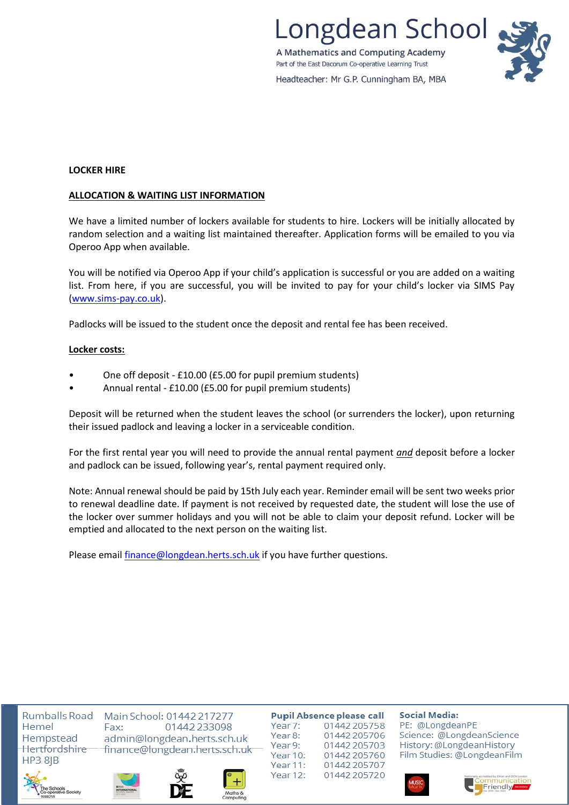ongdean School A Mathematics and Computing Academy Part of the East Dacorum Co-operative Learning Trust Headteacher: Mr G.P. Cunningham BA, MBA

**LOCKER HIRE**

### **ALLOCATION & WAITING LIST INFORMATION**

We have a limited number of lockers available for students to hire. Lockers will be initially allocated by random selection and a waiting list maintained thereafter. Application forms will be emailed to you via Operoo App when available.

You will be notified via Operoo App if your child's application is successful or you are added on a waiting list. From here, if you are successful, you will be invited to pay for your child's locker via SIMS Pay [\(www.sims-pay.co.uk\)](http://www.sims-pay.co.uk/).

Padlocks will be issued to the student once the deposit and rental fee has been received.

### **Locker costs:**

- One off deposit £10.00 (£5.00 for pupil premium students)
- Annual rental £10.00 (£5.00 for pupil premium students)

Deposit will be returned when the student leaves the school (or surrenders the locker), upon returning their issued padlock and leaving a locker in a serviceable condition.

For the first rental year you will need to provide the annual rental payment *and* deposit before a locker and padlock can be issued, following year's, rental payment required only.

Note: Annual renewal should be paid by 15th July each year. Reminder email will be sent two weeks prior to renewal deadline date. If payment is not received by requested date, the student will lose the use of the locker over summer holidays and you will not be able to claim your deposit refund. Locker will be emptied and allocated to the next person on the waiting list.

Please email [finance@longdean.herts.sch.uk](mailto:finance@longdean.herts.sch.uk) if you have further questions.

Hemel Hempstead Hertfordshire **HP3 8IB** 



Rumballs Road Main School: 01442 217277 Fax: 01442 233098 admin@longdean.herts.sch.uk finance@longdean.herts.sch.uk





**Pupil Absence please call** Year 7: 01442 205758 Year 8: 01442 205706 Year 9: 01442 205703 Year 10: 01442 205760 Year 11: 01442 205707 Year 12: 01442 2057 20

**Social Media:** 

PE: @LongdeanPE Science: @LongdeanScience History: @LongdeanHistory Film Studies: @LongdeanFilm



Friendly